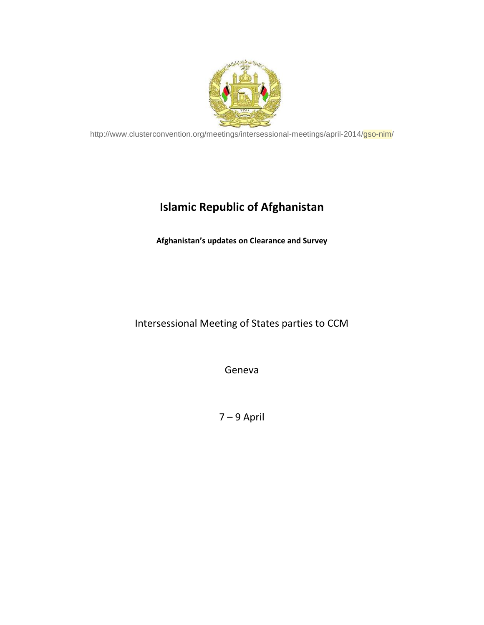

http://www.clusterconvention.org/meetings/intersessional-meetings/april-2014/gso-nim/

## **Islamic Republic of Afghanistan**

**Afghanistan's updates on Clearance and Survey**

## Intersessional Meeting of States parties to CCM

Geneva

7 – 9 April